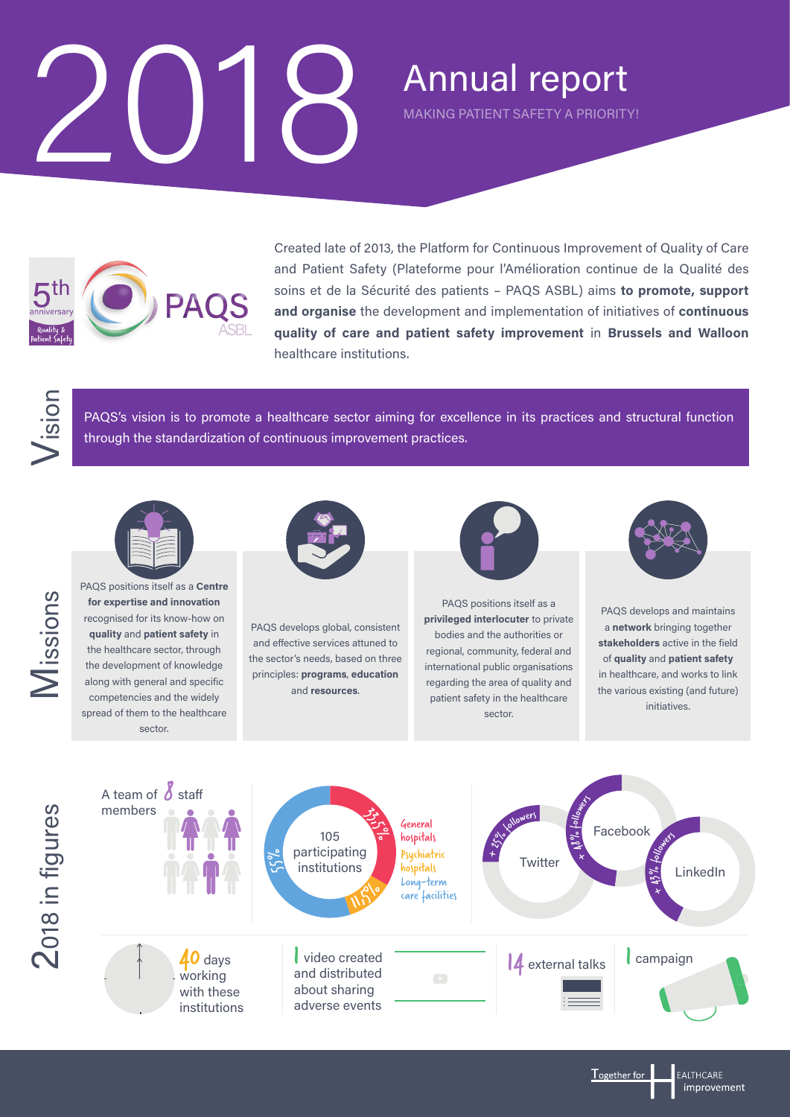## 2018



Created late of 2013, the Platform for Continuous Improvement of Quality of Care and Patient Safety (Plateforme pour l'Amélioration continue de la Qualité des soins et de la Sécurité des patients – PAQS ASBL) aims **to promote, support and organise** the development and implementation of initiatives of **continuous quality of care and patient safety improvement** in **Brussels and Walloon**  healthcare institutions.

Annual report

MAKING PATIENT SAFETY A PRIORITY!

Vision



PAQS positions itself as a **Centre**<br>for expertise and innovation<br>recognised for its know-how on<br>quality and patient safety in<br>the healthcare sector, through<br>the development of knowledge<br>along with general and specific **for expertise and innovation** recognised for its know-how on **quality** and **patient safety** in the healthcare sector, through the development of knowledge along with general and specific competencies and the widely spread of them to the healthcare sector.



through the standardization of continuous improvement practices.

PAQS's vision is to promote a healthcare sector aiming for excellence in its practices and structural function

PAQS develops global, consistent and effective services attuned to the sector's needs, based on three principles: **programs**, **education** and **resources**.



PAQS positions itself as a **privileged interlocuter** to private bodies and the authorities or regional, community, federal and international public organisations regarding the area of quality and patient safety in the healthcare sector.



PAQS develops and maintains a **network** bringing together **stakeholders** active in the field of **quality** and **patient safety**  in healthcare, and works to link the various existing (and future) initiatives.

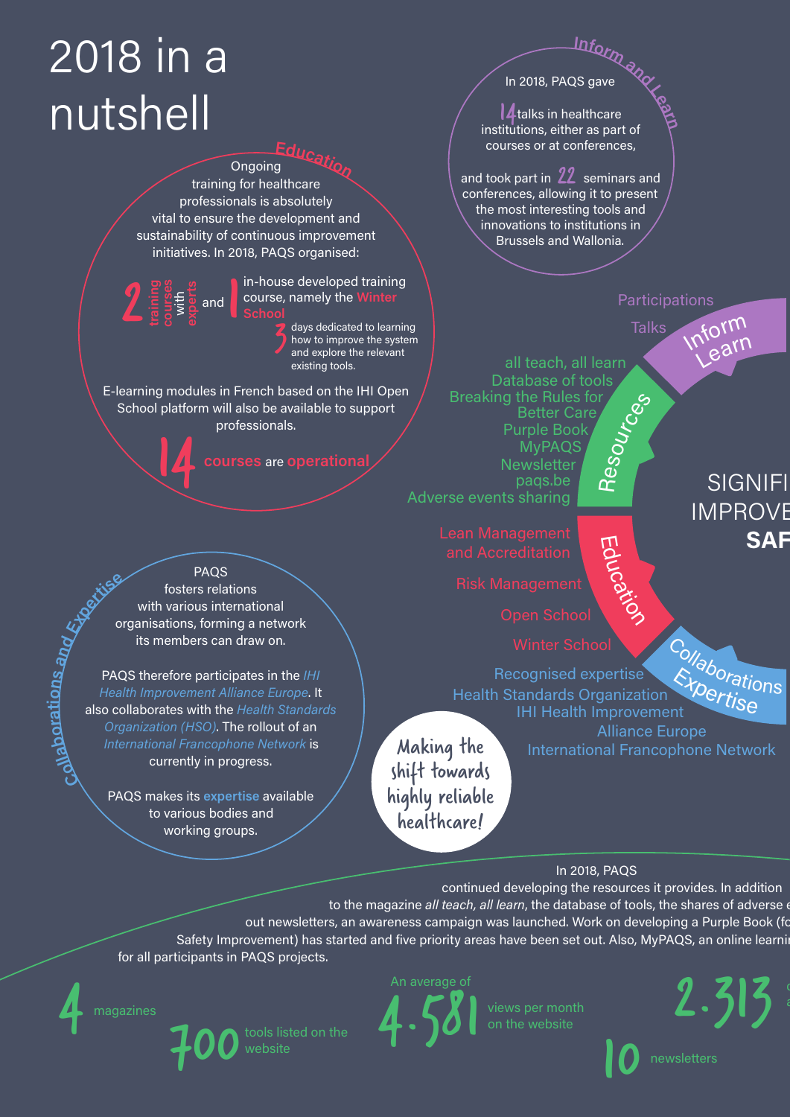## 2018 in a nutshell

2

**courses** 

**<sup>E</sup>ducatio<sup>n</sup>** Ongoing training for healthcare professionals is absolutely vital to ensure the development and sustainability of continuous improvement initiatives. In 2018, PAQS organised:

> in-house developed training course, namely the **Winter School**

days dedicated to learning<br>how to improve the system<br>and explore the relevant how to improve the system and explore the relevant existing tools.

E-learning modules in French based on the IHI Open School platform will also be available to support professionals. **Example 14 course, namely the W**<br> **course, namely the W**<br> **course, namely the W**<br> **course, namely the W**<br> **course** and explore the resisting tools.<br> **g** modules in French based on the IH<br>
platform will also be available

PAQS fosters relations with various international organisations, forming a network its members can draw on.

PAQS therefore participates in the *IHI Health Improvement Alliance Europe*. It also collaborates with the *Health Standards Organization (HSO)*. The rollout of an *International Francophone Network* is currently in progress.

PAQS makes its **expertise** available to various bodies and working groups.

In 2018, PAQS gave

**<sup>I</sup>nfor<sup>m</sup> <sup>a</sup>n<sup>d</sup> <sup>L</sup>ear<sup>n</sup> 4** talks in healthcare institutions, either as part of courses or at conferences,

and took part in  $22$  seminars and conferences, allowing it to present the most interesting tools and innovations to institutions in Brussels and Wallonia.



In 2018, PAQS

continued developing the resources it provides. In addition

to the magazine *all teach, all learn*, the database of tools, the shares of adverse out newsletters, an awareness campaign was launched. Work on developing a Purple Book (for Safety Improvement) has started and five priority areas have been set out. Also, MyPAQS, an online learni

for all participants in PAQS projects.



**Col al**

**bo r atio n**

<u>প</u> **and**

**Expertise**





views per month<br>on the website

 $2.313$ 

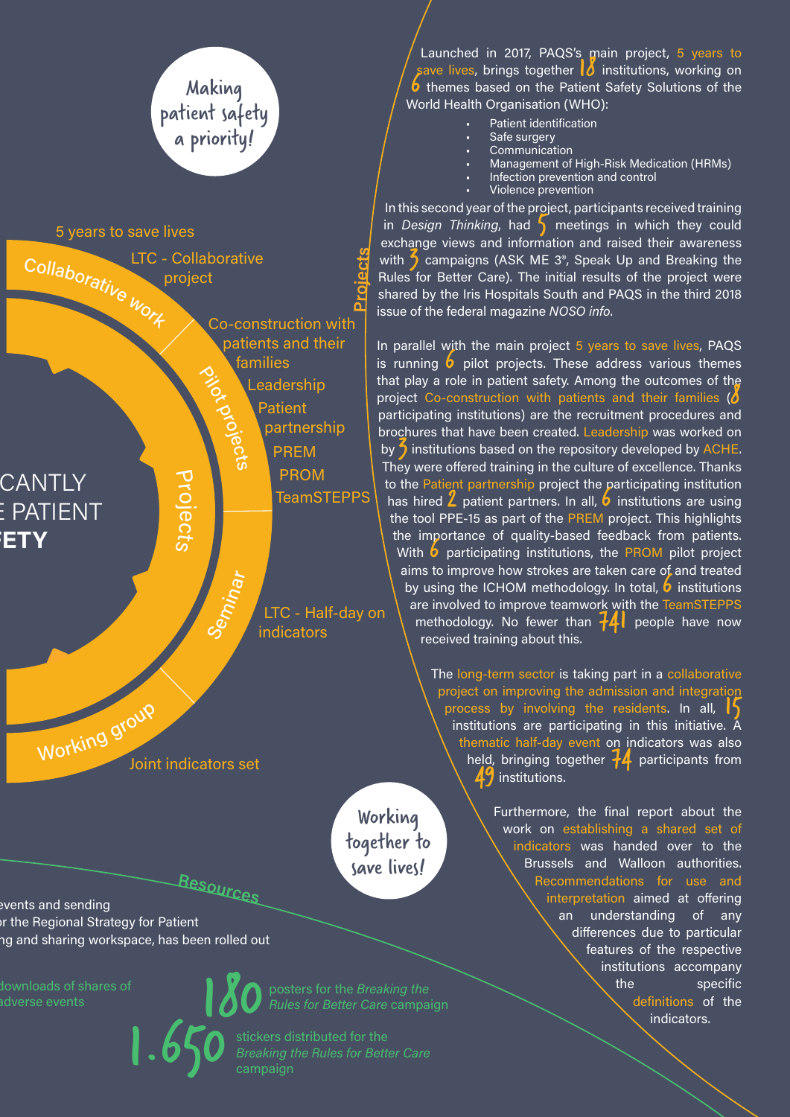

events and sending out the Regional Strategy for Patient ng and sharing workspace, has been rolled out. Also, MyPAQS, and sharing workspace,  $\alpha$ 

downloads of shares of<br>adverse events

downloads of shares of<br>adverse events **180** *Rules for Better Care campai*n

*Breaking the Rules for Better Care*  campaign

Launched in 2017, PAQS's main project, 5 years to save lives, brings together  $\frac{1}{2}$  institutions, working on **6** themes based on the Patient Safety Solutions of the World Health Organisation (WHO):

- Patient identification
- Safe surgery
- **Communication** • Management of High-Risk Medication (HRMs)
- Infection prevention and control
- Violence prevention

In this second year of the project, participants received training in *Design Thinking*, had **5** meetings in which they could exchange views and information and raised their awareness with 5 campaigns (ASK ME 3<sup>®</sup>, Speak Up and Breaking the Rules for Better Care). The initial results of the project were shared by the Iris Hospitals South and PAQS in the third 2018 issue of the federal magazine *NOSO info*.

In parallel with the main project 5 years to save lives, PAQS is running  $6$  pilot projects. These address various themes that play a role in patient safety. Among the outcomes of the project Co-construction with patients and their families ( $\delta$ participating institutions) are the recruitment procedures and brochures that have been created. Leadership was worked on by  $\bigwedge$  institutions based on the repository developed by ACHE. They were offered training in the culture of excellence. Thanks to the Patient partnership project the participating institution has hired  $\angle$  patient partners. In all,  $\overline{b}$  institutions are using the tool PPE-15 as part of the PREM project. This highlights the importance of quality-based feedback from patients. With  $\bullet$  participating institutions, the PROM pilot project aims to improve how strokes are taken care of and treated by using the ICHOM methodology. In total,  $\overline{b}$  institutions are involved to improve teamwork with the TeamSTEPPS methodology. No fewer than  $\mathcal{H}$  people have now received training about this.

> The long-term sector is taking part in a collaborative project on improving the admission and integration process by involving the residents. In all,  $\frac{1}{5}$ institutions are participating in this initiative. A thematic half-day event on indicators was also held, bringing together  $+4$  participants from 49 institutions.

> > Furthermore, the final report about the work on establishing a shared set of indicators was handed over to the Brussels and Walloon authorities. Recommendations for use and interpretation aimed at offering an understanding of any differences due to particular features of the respective institutions accompany the specific definitions of the indicators.